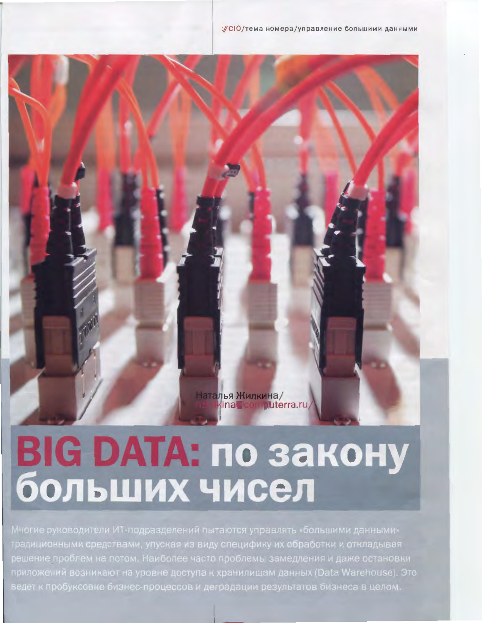Наталья Жилкина/<br>nzhlkina Pcomputerra.ru

# **BIG DATA: по закону** больших чисел

традиционными средствами, упуская из виду специфику их обработки и откладывая решение проблем на потом. Наиболее часто проблемы замедления и даже остановки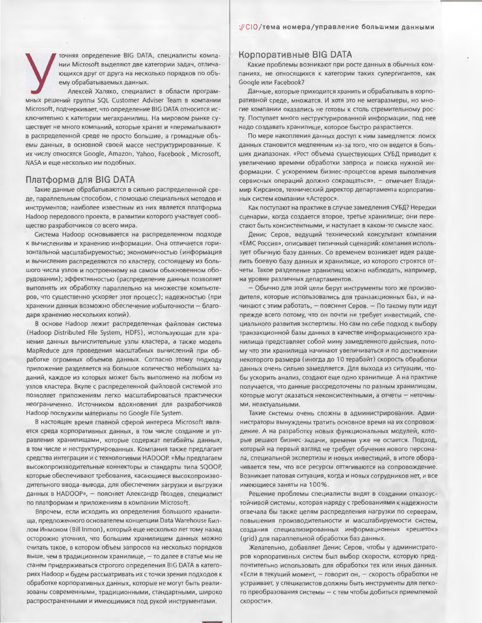точняя определение BIG DATA, специалисты компании Microsoft выделяют две категории задач, отличающихся друг от друга на несколько порядков по объему обрабатываемых данных.

Алексей Халяко, специалист в области программных решений группы SQL Customer Adviser Team в компании Microsoft, подчеркивает, что определение BIG DATA относится исключительно к категории мегахранилищ. На мировом рынке существует не много компаний, которые хранят и «перемалывают» в распределенной среде не просто большие, а громадные объемы данных, в основной своей массе неструктурированные. К их числу относятся Google, Amazon, Yahoo, Facebook, Microsoft, NASA и еще несколько им подобных.

# Платформа для BIG DATA

Такие данные обрабатываются в сильно распределенной среде, параллельным способом, с помощью специальных методов и инструментов; наиболее известным из них является платформа Наdooр передового проекта, в развитии которого участвует сообщество разработчиков со всего мира.

Система Наdоор основывается на распределенном подходе к вычислениям и хранению информации. Она отличается горизонтальной масштабируемостью; экономичностью (информация и вычисления распределяются по кластеру, состоящему из большого числа узлов и построенному на самом обыкновенном оборудовании); эффективностью (распределение данных позволяет выполнять их обработку параллельно на множестве компьютеров, что существенно ускоряет этот процесс); надежностью (при хранении данных возможно обеспечение избыточности - благодаря хранению нескольких копий).

В основе Hadoop лежит распределенная файловая система (Hadoop Distributed File System, HDFS), использующая для хранения данных вычислительные узлы кластера, а также модель MapReduce для проведения масштабных вычислений при обработке огромных объемов данных. Согласно этому подходу приложение разделяется на большое количество небольших заданий, каждое из которых может быть выполнено на любом из узлов кластера. Вкупе с распределенной файловой системой это позволяет приложениям легко масштабироваться практически неограниченно. Источником вдохновения для разработчиков Hadoop послужили материалы по Google File System.

В настоящее время главной сферой интереса Microsoft является среда корпоративных данных, в том числе создание и управления хранилищами, которые содержат петабайты данных, в том числе и неструктурированных. Компания также предлагает средства интеграции и с технологиями HADOOP. «Мы предлагаем высокопроизводительные коннекторы и стандарты типа SQOOP, которые обеспечивают требования, касающиеся высокопроизводительного ввода-вывода, для обеспечения загрузки и выгрузки данных в НАDООР», - поясняет Александр Гвоздев, специалист по платформам и приложениям в компании Microsoft.

Впрочем, если исходить из определения большого хранилища, предложенного основателем концепции Data Warehouse Биллом Инмоном (Bill Inmon), который еще несколько лет тому назад осторожно уточнил, что большим хранилищем данных можно считать такое, в котором объем запросов на несколько порядков выше, чем в традиционном хранилище, - то далее в статье мы не станем придерживаться строгого определения BIG DATA в категориях Hadoop и будем рассматривать их с точки зрения подходов к обработке корпоративных данных, которые не могут быть реализованы современными, традиционными, стандартными, широко распространенными и имеющимися под рукой инструментами.

# Корпоративные BIG DATA

Какие проблемы возникают при росте данных в обычных компаниях, не относящихся к категории таких супергигантов, как Google или Facebook?

Данные, которые приходится хранить и обрабатывать в корпоративной среде, множатся. И хотя это не мегаразмеры, но многие компании оказались не готовы к столь стремительному росту. Поступает много неструктурированной информации, под нее надо создавать хранилище, которое быстро разрастается.

По мере накопления данных доступ к ним замедляется: поиск данных становится медленным из-за того, что он ведется в больших диапазонах. «Рост объема существующих СУБД приводит к увеличению времени обработки запроса и поиска нужной информации. С ускорением бизнес-процессов время выполнения сервисных операций должно сокращаться», - отмечает Владимир Кирсанов, технический директор департамента корпоративных систем компании «Астерос».

Как поступают на практике в случае замедления СУБД? Нередки сценарии, когда создается второе, третье хранилище; они перестают быть консистентными, и наступает в каком-то смысле хаос.

Денис Серов, ведущий технический консультант компании «ЕМС Россия», описывает типичный сценарий: компания использует обычную базу данных. Со временем возникает идея разделить боевую базу данных и хранилище, из которого строятся отчеты. Такое разделение хранилищ можно наблюдать, например, на уровне различных департаментов.

- Обычно для этой цели берут инструменты того же производителя, которые использовались для транзакционных баз, и начинают с этим работать, - поясняет Серов. - По такому пути идут прежде всего потому, что он почти не требует инвестиций, специального развития экспертизы. Но сам по себе подход к выбору транзакционной базы данных в качестве информационного хранилища представляет собой мину замедленного действия, потому что эти хранилища начинают увеличиваться и по достижении некоторого размера (иногда до 10 терабайт) скорость обработки данных очень сильно замедляется. Для выхода из ситуации, чтобы ускорить анализ, создают еще одно хранилище. А на практике получается, что данные рассредоточены по разным хранилищам, которые могут оказаться неконсистентными, а отчеты - неточными, неактуальными.

Такие системы очень сложны в администрировании. Администраторы вынуждены тратить основное время на их сопровождение. А на разработку новых функциональных модулей, которые решают бизнес-задачи, времени уже не остается. Подход, который на первый взгляд не требует обучения нового персонала, специальной экспертизы и новых инвестиций, в итоге оборачивается тем, что все ресурсы оттягиваются на сопровождение. Возникает патовая ситуация, когда и новых сотрудников нет, и все имеющиеся заняты на 100%.

Решение проблемы специалисты видят в создании отказоустойчивой системы, которая наряду с требованиями к надежности отвечала бы также целям распределения нагрузки по серверам, повышения производительности и масштабируемости систем, создания специализированных информационных «решеток» (grid) для параллельной обработки баз данных.

Желательно, добавляет Денис Серов, чтобы у администраторов корпоративных систем был выбор скорости, которую предпочтительно использовать для обработки тех или иных данных. «Если в текущий момент, - говорит он, - скорость обработки не устраивает, у специалистов должны быть инструменты для легкого преобразования системы - с тем чтобы добиться приемлемой скорости».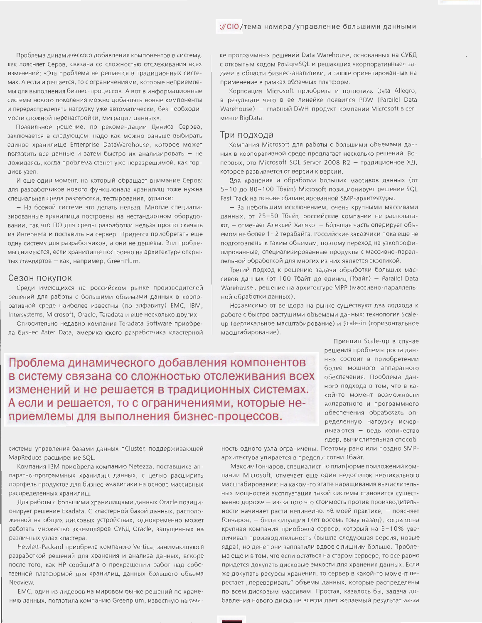Проблема динамического добавления компонентов в систему, как поясняет Серов, связана со сложностью отслеживания всех изменений: «Эта проблема не решается в традиционных системах. А если и решается, то с ограничениями, которые неприемлемы для выполнения бизнес-процессов. А вот в информационные системы нового поколения можно добавлять новые компоненты и перераспределять нагрузку уже автоматически, без необходимости сложной перенастройки, миграции данных».

Правильное решение, по рекомендации Дениса Серова, заключается в следующем: надо как можно раньше выбирать единое хранилище Enterprise DataWarehouse, которое может поглотить все данные и затем быстро их анализировать - не дожидаясь, когда проблема станет уже неразрешимой, как гордиев узел.

И еще один момент, на который обращает внимание Серов: для разработчиков нового функционала хранилищ тоже нужна специальная среда разработки, тестирования, отладки:

- На боевой системе это делать нельзя. Многие специализированные хранилища построены на нестандартном оборудовании, так что ПО для среды разработки нельзя просто скачать из Интернета и поставить на сервер. Придется приобретать еще одну систему для разработчиков, а они не дешевы. Эти проблемы снимаются, если хранилище построено на архитектуре открытых стандартов - как, например, GreenPlum.

#### Сезон покупок

Среди имеющихся на российском рынке производителей решений для работы с большими объемами данных в корпоративной среде наиболее известны (по алфавиту) EMC, IBM, Intersystems, Microsoft, Oracle, Teradata и еще несколько других.

Относительно недавно компания Teradata Software приобрела бизнес Aster Data, американского разработчика кластерной

ке программных решений Data Warehouse, основанных на СУБД с открытым кодом PostgreSQL и решающих «корпоративные» задачи в области бизнес-аналитики, а также ориентированных на применение в рамках облачных платформ.

Корпоация Microsoft приобрела и поглотила Data Allegro,  $\overline{B}$ результате чего в ее линейке появился PDW (Parallel Data Warehouse) - главный DWH-продукт компании Microsoft в сегменте BigData.

### Три подхода

Компания Microsoft для работы с большими объемами данных в корпоративной среде предлагает несколько решений. Вопервых, это Microsoft SQL Server 2008 R2 - традиционное ХД, которое развивается от версии к версии.

Для хранения и обработки больших массивов данных (от 5-10 до 80-100 Тбайт) Microsoft позиционирует решение SQL Fast Track на основе сбалансированной SMP-архитектуры.

- За небольшим исключением, очень крупными массивами данных, от 25-50 Тбайт, российские компании не располагают. - отмечает Алексей Халяко. - Бо́льшая часть оперирует объемом не более 1-2 терабайта. Российские заказчики пока еще не подготовлены к таким объемам, поэтому переход на узкопрофилированные, специализированные продукты с массивно-параллельной обработкой для многих из них является экзотикой.

Третий подход к решению задачи обработки больших массивов данных (от 100 Тбайт до единиц Пбайт) - Parallel Data Warehouse, решение на архитектуре MPP (массивно-параллельной обработки данных).

Независимо от вендора на рынке существуют два подхода к работе с быстро растущими объемами данных: технология Scaleup (вертикальное масштабирование) и Scale-in (горизонтальное масштабирование).

Проблема динамического добавления компонентов в систему связана со сложностью отслеживания всех изменений и не решается в традиционных системах. А если и решается, то с ограничениями, которые неприемлемы для выполнения бизнес-процессов.

Принцип Scale-up в случае решения проблемы роста данных состоит в приобретении более мощного аппаратного обеспечения. Проблема данного подхода в том, что в какой-то момент возможности аппаратного и программного обеспечения обработать определенную нагрузку исчерпываются - ведь количество ядер, вычислительная способ-

системы управления базами данных nCluster, поддерживающей MapReduce-расширение SOL.

Компания IBM приобрела компанию Netezza, поставщика аппаратно-программных хранилищ данных, с целью расширить портфель продуктов для бизнес-аналитики на основе массивных распределенных хранилищ.

Для работы с большими хранилищами данных Oracle позиционирует решение Exadata. С кластерной базой данных, расположенной на общих дисковых устройствах, одновременно может работать множество экземпляров СУБД Oracle, запущенных на различных узлах кластера.

Hewlett-Packard приобрела компанию Vertica, занимающуюся разработкой решений для хранения и анализа данных, вскоре после того, как НР сообщила о прекращении работ над собственной платформой для хранилищ данных большого объема Neoview.

ЕМС, один из лидеров на мировом рынке решений по хранению данных, поглотила компанию Greenplum, известную на рынность одного узла ограничены. Поэтому рано или поздно SMPархитектура упирается в пределы сотни Тбайт.

Максим Гончаров, специалист по платформе приложений компании Microsoft, отмечает еще один недостаток вертикального масштабирования: на каком-то этапе наращивания вычислительных мощностей эксплуатация такой системы становится существенно дороже - из-за того что стоимость против производительности начинает расти нелинейно. «В моей практике, - поясняет Гончаров, - была ситуация (лет восемь тому назад), когда одна крупная компания приобрела сервер, который на 5-10% увеличивал производительность (вышла следующая версия, новые ядра), но денег они заплатили вдвое с лишним больше. Проблема еще и в том, что если остаться на старом сервере, то все равно придется докупать дисковые емкости для хранения данных. Если же докупать ресурсы хранения, то сервер в какой-то момент перестает "переваривать" объемы данных, которые распределены по всем дисковым массивам. Простая, казалось бы, задача добавления нового диска не всегда дает желаемый результат из-за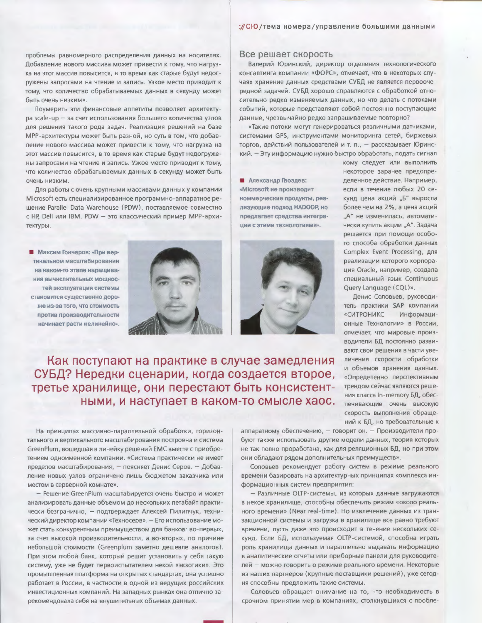проблемы равномерного распределения данных на носителях. Добавление нового массива может привести к тому, что нагрузка на этот массив повысится, в то время как старые будут недогружены запросами на чтение и запись. Узкое место приводит к тому, что количество обрабатываемых данных в секунду может быть очень низким».

Поумерить эти финансовые аппетиты позволяет архитектуpa scale-up - за счет использования большего количества узлов для решения такого рода задач. Реализация решений на базе МРР-архитектуры может быть разной, но суть в том, что добавление нового массива может привести к тому, что нагрузка на этот массив повысится, в то время как старые будут недогружены запросами на чтение и запись. Узкое место приводит к тому, что количество обрабатываемых данных в секунду может быть очень низким.

Для работы с очень крупными массивами данных у компании Microsoft есть специализированное программно-аппаратное решение Parallel Data Warehouse (PDW), поставляемое совместно с HP, Dell или IBM. PDW - это классический пример MPP-архитектуры.

**• Максим Гончаров: «При вер**тикальном масштабировании на каком-то этапе нарашивания вычислительных мошностей эксплуатация системы становится существенно дороже из-за того, что стоимость против производительности начинает расти нелинейно».



**• Александр Гвоздев:** «Microsoft не производит коммерческие продукты, реализующие подход НАDООР, но предлагает средства интегра-

ЦИИ С ЗТИМИ ТЕХНОЛОГИЯМИ».



Как поступают на практике в случае замедления СУБД? Нередки сценарии, когда создается второе, третье хранилище, они перестают быть консистентными, и наступает в каком-то смысле хаос.

На принципах массивно-параллельной обработки, горизонтального и вертикального масштабирования построена и система GreenPlum, вошедшая в линейку решений ЕМС вместе с приобретением одноименной компании. «Система практически не имеет пределов масштабирования, - поясняет Денис Серов. - Добавление новых узлов ограничено лишь бюджетом заказчика или местом в серверной комнате».

- Решение GreenPlum масштабируется очень быстро и может анализировать данные объемом до нескольких петабайт практически безгранично, - подтверждает Алексей Пилипчук, технический директор компании «Техносерв». - Его использование может стать конкурентным преимуществом для банков: во-первых, за счет высокой производительности, а во-вторых, по причине небольшой стоимости (Greenplum заметно дешевле аналогов). При этом любой банк, который решит установить у себя такую систему, уже не будет первоиспытателем некой «экзотики». Это промышленная платформа на открытых стандартах, она успешно работает в России, в частности в одной из ведущих российских инвестиционных компаний. На западных рынках она отлично зарекомендовала себя на внушительных объемах данных.

аппаратному обеспечению, - говорит он. - Производители пробуют также использовать другие модели данных, теория которых не так полно проработана, как для реляционных БД, но при этом они обладают рядом дополнительных преимуществ».

Соловьев рекомендует работу систем в режиме реального времени базировать на архитектурных принципах комплекса информационных систем предприятия:

- Различные OLTP-системы, из которых данные загружаются в некое хранилище, способны обеспечить режим «около реального времени» (Near real-time). Но извлечение данных из транзакционной системы и загрузка в хранилище все равно требуют времени, пусть даже это происходит в течение нескольких секунд. Если БД, используемая OLTP-системой, способна играть роль хранилища данных и параллельно выдавать информацию в аналитические отчеты или приборные панели для руководителей - можно говорить о режиме реального времени. Некоторые из наших партнеров (крупные поставщики решений), уже сегодня способны предложить такие системы.

Соловьев обращает внимание на то, что необходимость в срочном принятии мер в компаниях, столкнувшихся с пробле-

# Все решает скорость

Валерий Юринский, директор отделения технологического консалтинга компании «ФОРС», отмечает, что в некоторых случаях хранение данных средствами СУБД не является первоочередной задачей. СУБД хорошо справляются с обработкой относительно редко изменяемых данных, но что делать с потоками событий, которые представляют собой постоянно поступающие данные, чрезвычайно редко запрашиваемые повторно?

«Такие потоки могут генерироваться различными датчиками, системами GPS, инструментами мониторинга сетей, биржевых торгов, действий пользователей и т. п., - рассказывает Юринский. - Эту информацию нужно быстро обработать, подать сигнал

кому следует или выполнить некоторое заранее предопределенное действие. Например, если в течение любых 20 секунд цена акций "Б" выросла более чем на 2%, а цена акций "А" не изменилась, автоматически купить акции "А". Задача решается при помощи особого способа обработки данных Complex Event Processing, для реализации которого корпорация Oracle, например, создала специальный язык Continuous Query Language (CQL)».

Денис Соловьев, руководитель практики SAP компании «СИТРОНИКС Информационные Технологии» в России, отмечает, что мировые производители БД постоянно развивают свои решения в части увеличения скорости обработки и объемов хранения данных. «Определенно перспективным трендом сейчас являются решения класса In-memory БД, обеспечивающие очень высокую скорость выполнения обращений к БД, но требовательные к